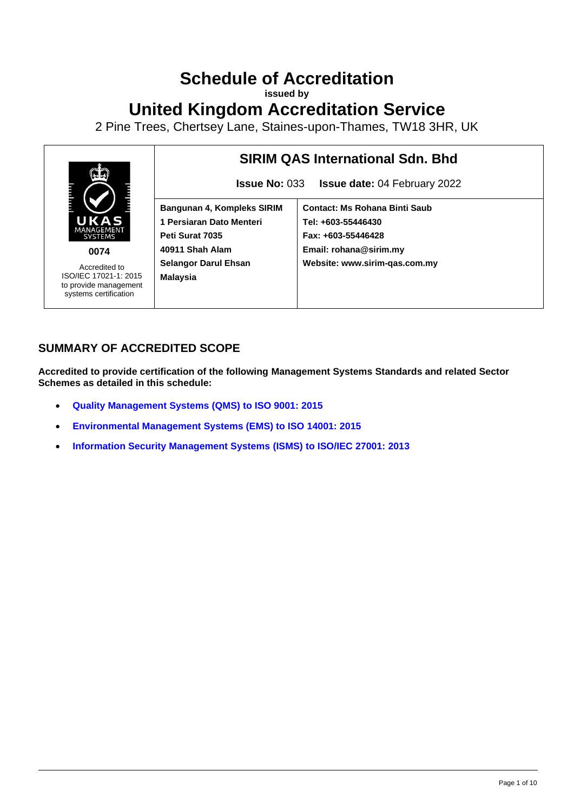# **Schedule of Accreditation**

**issued by**

## **United Kingdom Accreditation Service**

2 Pine Trees, Chertsey Lane, Staines-upon-Thames, TW18 3HR, UK



**0074**

Accredited to ISO/IEC 17021-1: 2015 to provide management systems certification

## **SIRIM QAS International Sdn. Bhd**

**Issue No:** 033 **Issue date:** 04 February 2022

**Bangunan 4, Kompleks SIRIM 1 Persiaran Dato Menteri Peti Surat 7035 40911 Shah Alam Selangor Darul Ehsan Malaysia**

**Contact: Ms Rohana Binti Saub Tel: +603-55446430 Fax: +603-55446428 Email: rohana@sirim.my Website: www.sirim-qas.com.my**

## **SUMMARY OF ACCREDITED SCOPE**

**Accredited to provide certification of the following Management Systems Standards and related Sector Schemes as detailed in this schedule:**

- **[Quality Management Systems](#page-2-0) (QMS) to ISO 9001: 2015**
- **[Environmental Management Systems \(EMS\) to ISO 14001: 2015](#page-6-0)**
- **[Information Security Management Systems](#page-9-0) (ISMS) to ISO/IEC 27001: 2013**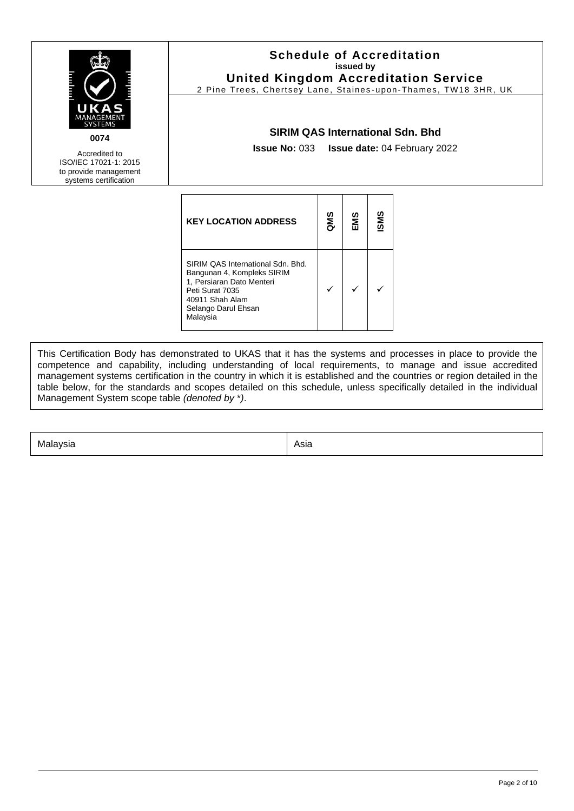| UKAS<br>MANAGEMENT<br><b>SYSTEMS</b><br>0074<br>Accredited to<br>ISO/IEC 17021-1: 2015<br>to provide management<br>systems certification | <b>Schedule of Accreditation</b><br>issued by<br><b>United Kingdom Accreditation Service</b><br>2 Pine Trees, Chertsey Lane, Staines-upon-Thames, TW18 3HR, UK<br><b>SIRIM QAS International Sdn. Bhd</b><br><b>Issue No: 033 Issue date: 04 February 2022</b> |     |     |     |  |
|------------------------------------------------------------------------------------------------------------------------------------------|----------------------------------------------------------------------------------------------------------------------------------------------------------------------------------------------------------------------------------------------------------------|-----|-----|-----|--|
|                                                                                                                                          | <b>KEY LOCATION ADDRESS</b>                                                                                                                                                                                                                                    | QMS | EMS | SMS |  |
|                                                                                                                                          | SIRIM QAS International Sdn. Bhd.<br>Bangunan 4, Kompleks SIRIM<br>1, Persiaran Dato Menteri<br>Peti Surat 7035<br>40911 Shah Alam<br>Selango Darul Ehsan<br>Malaysia                                                                                          | ✓   |     |     |  |

This Certification Body has demonstrated to UKAS that it has the systems and processes in place to provide the competence and capability, including understanding of local requirements, to manage and issue accredited management systems certification in the country in which it is established and the countries or region detailed in the table below, for the standards and scopes detailed on this schedule, unless specifically detailed in the individual Management System scope table *(denoted by* \**)*.

Malaysia Asia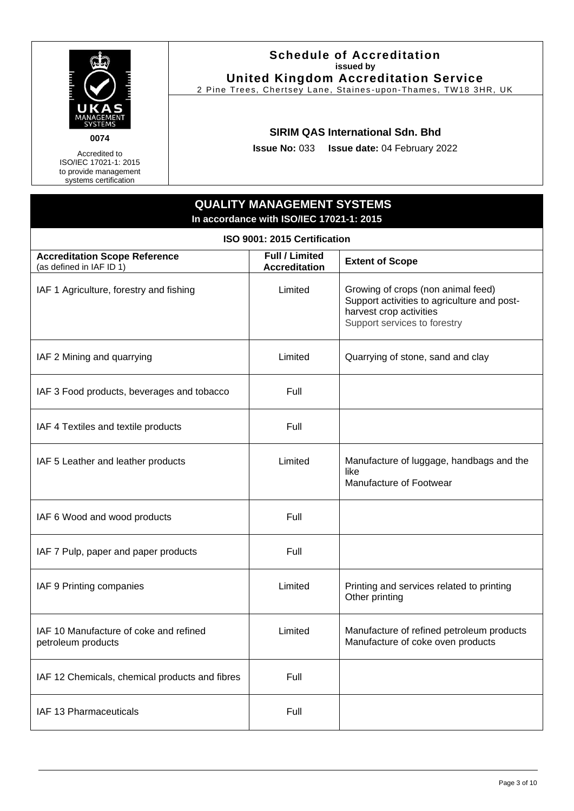

Accredited to ISO/IEC 17021-1: 2015 to provide management systems certification

#### **Schedule of Accreditation issued by United Kingdom Accreditation Service**

2 Pine Trees, Chertsey Lane, Staines -upon-Thames, TW18 3HR, UK

#### **SIRIM QAS International Sdn. Bhd**

**Issue No:** 033 **Issue date:** 04 February 2022

## **QUALITY MANAGEMENT SYSTEMS In accordance with ISO/IEC 17021-1: 2015**

<span id="page-2-0"></span>

| ISO 9001: 2015 Certification                                     |                                               |                                                                                                                                              |  |
|------------------------------------------------------------------|-----------------------------------------------|----------------------------------------------------------------------------------------------------------------------------------------------|--|
| <b>Accreditation Scope Reference</b><br>(as defined in IAF ID 1) | <b>Full / Limited</b><br><b>Accreditation</b> | <b>Extent of Scope</b>                                                                                                                       |  |
| IAF 1 Agriculture, forestry and fishing                          | Limited                                       | Growing of crops (non animal feed)<br>Support activities to agriculture and post-<br>harvest crop activities<br>Support services to forestry |  |
| IAF 2 Mining and quarrying                                       | Limited                                       | Quarrying of stone, sand and clay                                                                                                            |  |
| IAF 3 Food products, beverages and tobacco                       | Full                                          |                                                                                                                                              |  |
| IAF 4 Textiles and textile products                              | Full                                          |                                                                                                                                              |  |
| IAF 5 Leather and leather products                               | Limited                                       | Manufacture of luggage, handbags and the<br>like<br>Manufacture of Footwear                                                                  |  |
| IAF 6 Wood and wood products                                     | Full                                          |                                                                                                                                              |  |
| IAF 7 Pulp, paper and paper products                             | Full                                          |                                                                                                                                              |  |
| IAF 9 Printing companies                                         | Limited                                       | Printing and services related to printing<br>Other printing                                                                                  |  |
| IAF 10 Manufacture of coke and refined<br>petroleum products     | Limited                                       | Manufacture of refined petroleum products<br>Manufacture of coke oven products                                                               |  |
| IAF 12 Chemicals, chemical products and fibres                   | Full                                          |                                                                                                                                              |  |
| IAF 13 Pharmaceuticals                                           | Full                                          |                                                                                                                                              |  |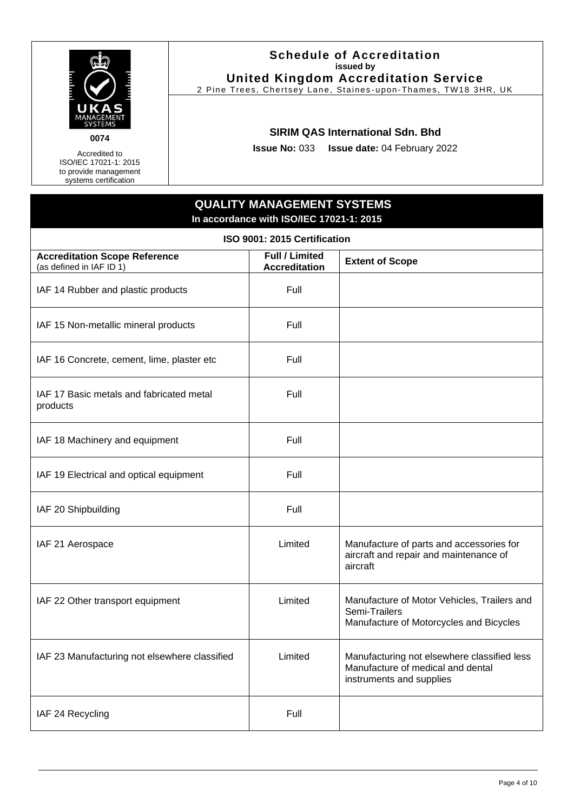

Accredited to ISO/IEC 17021-1: 2015 to provide management systems certification

#### **Schedule of Accreditation issued by United Kingdom Accreditation Service**

2 Pine Trees, Chertsey Lane, Staines -upon-Thames, TW18 3HR, UK

#### **SIRIM QAS International Sdn. Bhd**

**Issue No:** 033 **Issue date:** 04 February 2022

## **QUALITY MANAGEMENT SYSTEMS In accordance with ISO/IEC 17021-1: 2015**

| ISO 9001: 2015 Certification                                     |                                               |                                                                                                              |  |  |
|------------------------------------------------------------------|-----------------------------------------------|--------------------------------------------------------------------------------------------------------------|--|--|
| <b>Accreditation Scope Reference</b><br>(as defined in IAF ID 1) | <b>Full / Limited</b><br><b>Accreditation</b> | <b>Extent of Scope</b>                                                                                       |  |  |
| IAF 14 Rubber and plastic products                               | Full                                          |                                                                                                              |  |  |
| IAF 15 Non-metallic mineral products                             | Full                                          |                                                                                                              |  |  |
| IAF 16 Concrete, cement, lime, plaster etc                       | Full                                          |                                                                                                              |  |  |
| IAF 17 Basic metals and fabricated metal<br>products             | Full                                          |                                                                                                              |  |  |
| IAF 18 Machinery and equipment                                   | Full                                          |                                                                                                              |  |  |
| IAF 19 Electrical and optical equipment                          | Full                                          |                                                                                                              |  |  |
| IAF 20 Shipbuilding                                              | Full                                          |                                                                                                              |  |  |
| IAF 21 Aerospace                                                 | Limited                                       | Manufacture of parts and accessories for<br>aircraft and repair and maintenance of<br>aircraft               |  |  |
| IAF 22 Other transport equipment                                 | Limited                                       | Manufacture of Motor Vehicles, Trailers and<br>Semi-Trailers<br>Manufacture of Motorcycles and Bicycles      |  |  |
| IAF 23 Manufacturing not elsewhere classified                    | Limited                                       | Manufacturing not elsewhere classified less<br>Manufacture of medical and dental<br>instruments and supplies |  |  |
| IAF 24 Recycling                                                 | Full                                          |                                                                                                              |  |  |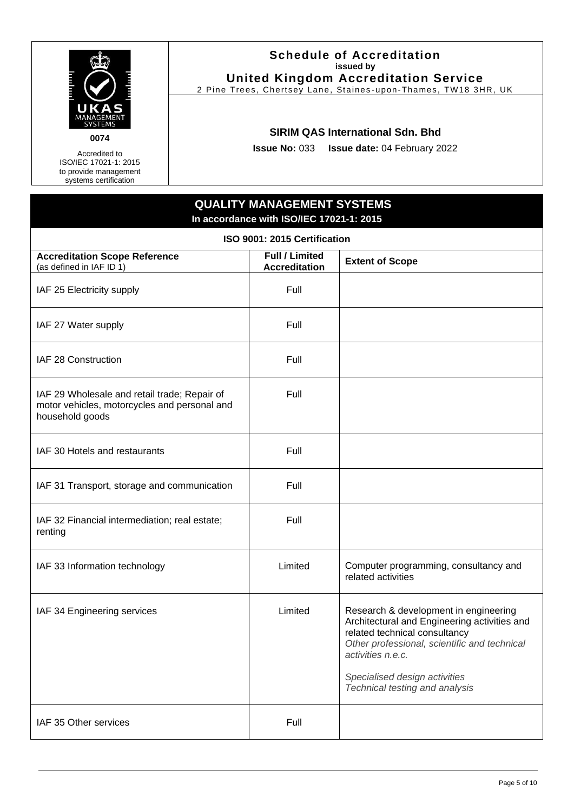

Accredited to ISO/IEC 17021-1: 2015

to provide management systems certification

#### **Schedule of Accreditation issued by United Kingdom Accreditation Service**

2 Pine Trees, Chertsey Lane, Staines -upon-Thames, TW18 3HR, UK

#### **SIRIM QAS International Sdn. Bhd**

**Issue No:** 033 **Issue date:** 04 February 2022

### **QUALITY MANAGEMENT SYSTEMS In accordance with ISO/IEC 17021-1: 2015**

| ISO 9001: 2015 Certification                                                                                    |                                               |                                                                                                                                                                                                                                                                |  |
|-----------------------------------------------------------------------------------------------------------------|-----------------------------------------------|----------------------------------------------------------------------------------------------------------------------------------------------------------------------------------------------------------------------------------------------------------------|--|
| <b>Accreditation Scope Reference</b><br>(as defined in IAF ID 1)                                                | <b>Full / Limited</b><br><b>Accreditation</b> | <b>Extent of Scope</b>                                                                                                                                                                                                                                         |  |
| IAF 25 Electricity supply                                                                                       | Full                                          |                                                                                                                                                                                                                                                                |  |
| IAF 27 Water supply                                                                                             | Full                                          |                                                                                                                                                                                                                                                                |  |
| IAF 28 Construction                                                                                             | Full                                          |                                                                                                                                                                                                                                                                |  |
| IAF 29 Wholesale and retail trade; Repair of<br>motor vehicles, motorcycles and personal and<br>household goods | Full                                          |                                                                                                                                                                                                                                                                |  |
| IAF 30 Hotels and restaurants                                                                                   | Full                                          |                                                                                                                                                                                                                                                                |  |
| IAF 31 Transport, storage and communication                                                                     | Full                                          |                                                                                                                                                                                                                                                                |  |
| IAF 32 Financial intermediation; real estate;<br>renting                                                        | Full                                          |                                                                                                                                                                                                                                                                |  |
| IAF 33 Information technology                                                                                   | Limited                                       | Computer programming, consultancy and<br>related activities                                                                                                                                                                                                    |  |
| IAF 34 Engineering services                                                                                     | Limited                                       | Research & development in engineering<br>Architectural and Engineering activities and<br>related technical consultancy<br>Other professional, scientific and technical<br>activities n.e.c.<br>Specialised design activities<br>Technical testing and analysis |  |
| IAF 35 Other services                                                                                           | Full                                          |                                                                                                                                                                                                                                                                |  |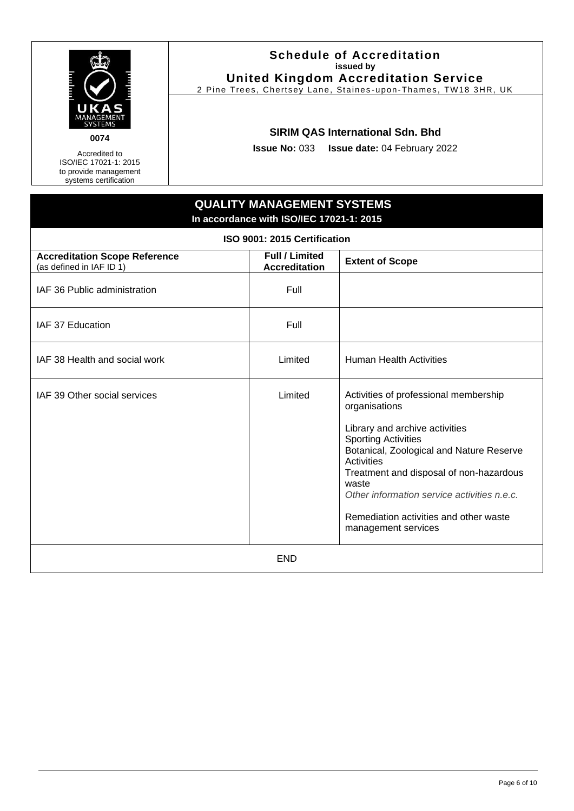

Accredited to ISO/IEC 17021-1: 2015 to provide management systems certification

#### **Schedule of Accreditation issued by United Kingdom Accreditation Service**

2 Pine Trees, Chertsey Lane, Staines -upon-Thames, TW18 3HR, UK

#### **SIRIM QAS International Sdn. Bhd**

**Issue No:** 033 **Issue date:** 04 February 2022

## **QUALITY MANAGEMENT SYSTEMS In accordance with ISO/IEC 17021-1: 2015 ISO 9001: 2015 Certification Accreditation Scope Reference** (as defined in IAF ID 1) **Full / Limited Accreditation Extent of Scope** IAF 36 Public administration The Rull of Tell IAF 37 Education **Full** Full IAF 38 Health and social work Limited Human Health Activities IAF 39 Other social services and Activities of professional membership organisations Library and archive activities Sporting Activities Botanical, Zoological and Nature Reserve **Activities** Treatment and disposal of non-hazardous waste *Other information service activities n.e.c.* Remediation activities and other waste management services END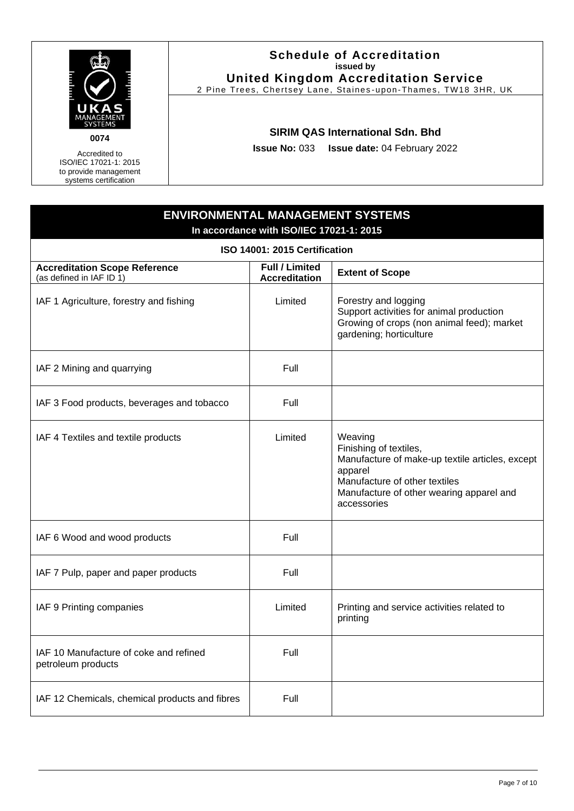

Accredited to ISO/IEC 17021-1: 2015 to provide management

systems certification

#### **Schedule of Accreditation issued by United Kingdom Accreditation Service**

2 Pine Trees, Chertsey Lane, Staines -upon-Thames, TW18 3HR, UK

#### **SIRIM QAS International Sdn. Bhd**

**Issue No:** 033 **Issue date:** 04 February 2022

## <span id="page-6-0"></span>**ENVIRONMENTAL MANAGEMENT SYSTEMS In accordance with ISO/IEC 17021-1: 2015 ISO 14001: 2015 Certification Accreditation Scope Reference** (as defined in IAF ID 1) **Full / Limited Accreditation Extent of Scope** IAF 1 Agriculture, forestry and fishing Limited Forestry and logging Support activities for animal production Growing of crops (non animal feed); market gardening; horticulture IAF 2 Mining and quarrying Full Full IAF 3 Food products, beverages and tobacco  $\blacksquare$  Full IAF 4 Textiles and textile products Limited Neaving Finishing of textiles, Manufacture of make-up textile articles, except apparel Manufacture of other textiles Manufacture of other wearing apparel and accessories  $IAF 6$  Wood and wood products  $I = \begin{bmatrix} \n\end{bmatrix}$  Full IAF  $7$  Pulp, paper and paper products  $\vert$  Full IAF 9 Printing companies Limited Printing and service activities related to printing IAF 10 Manufacture of coke and refined petroleum products Full IAF 12 Chemicals, chemical products and fibres  $\vert$  Full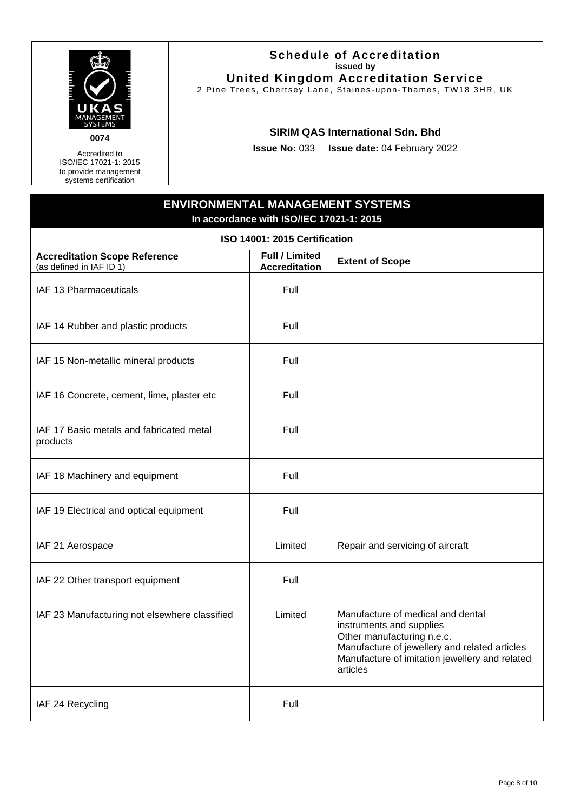

Accredited to

ISO/IEC 17021-1: 2015 to provide management systems certification

#### **Schedule of Accreditation issued by United Kingdom Accreditation Service**

2 Pine Trees, Chertsey Lane, Staines -upon-Thames, TW18 3HR, UK

#### **SIRIM QAS International Sdn. Bhd**

**Issue No:** 033 **Issue date:** 04 February 2022

## **ENVIRONMENTAL MANAGEMENT SYSTEMS In accordance with ISO/IEC 17021-1: 2015**

| ISO 14001: 2015 Certification                                    |                                               |                                                                                                                                                                                                            |  |
|------------------------------------------------------------------|-----------------------------------------------|------------------------------------------------------------------------------------------------------------------------------------------------------------------------------------------------------------|--|
| <b>Accreditation Scope Reference</b><br>(as defined in IAF ID 1) | <b>Full / Limited</b><br><b>Accreditation</b> | <b>Extent of Scope</b>                                                                                                                                                                                     |  |
| IAF 13 Pharmaceuticals                                           | Full                                          |                                                                                                                                                                                                            |  |
| IAF 14 Rubber and plastic products                               | Full                                          |                                                                                                                                                                                                            |  |
| IAF 15 Non-metallic mineral products                             | Full                                          |                                                                                                                                                                                                            |  |
| IAF 16 Concrete, cement, lime, plaster etc                       | Full                                          |                                                                                                                                                                                                            |  |
| IAF 17 Basic metals and fabricated metal<br>products             | Full                                          |                                                                                                                                                                                                            |  |
| IAF 18 Machinery and equipment                                   | Full                                          |                                                                                                                                                                                                            |  |
| IAF 19 Electrical and optical equipment                          | Full                                          |                                                                                                                                                                                                            |  |
| IAF 21 Aerospace                                                 | Limited                                       | Repair and servicing of aircraft                                                                                                                                                                           |  |
| IAF 22 Other transport equipment                                 | Full                                          |                                                                                                                                                                                                            |  |
| IAF 23 Manufacturing not elsewhere classified                    | Limited                                       | Manufacture of medical and dental<br>instruments and supplies<br>Other manufacturing n.e.c.<br>Manufacture of jewellery and related articles<br>Manufacture of imitation jewellery and related<br>articles |  |
| IAF 24 Recycling                                                 | Full                                          |                                                                                                                                                                                                            |  |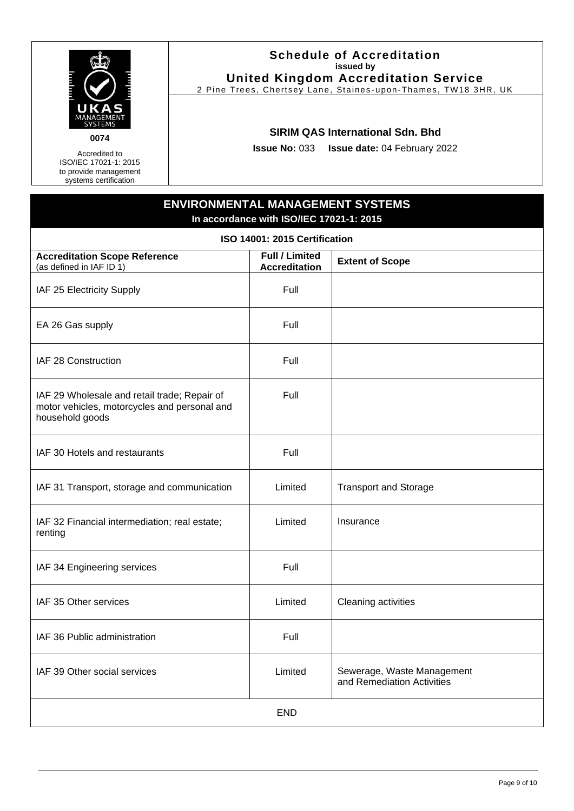

**0074**

Accredited to ISO/IEC 17021-1: 2015 to provide management systems certification

#### **Schedule of Accreditation issued by United Kingdom Accreditation Service**

2 Pine Trees, Chertsey Lane, Staines -upon-Thames, TW18 3HR, UK

#### **SIRIM QAS International Sdn. Bhd**

**Issue No:** 033 **Issue date:** 04 February 2022

## **ENVIRONMENTAL MANAGEMENT SYSTEMS In accordance with ISO/IEC 17021-1: 2015**

| ISO 14001: 2015 Certification                                                                                   |                                               |                                                          |  |  |
|-----------------------------------------------------------------------------------------------------------------|-----------------------------------------------|----------------------------------------------------------|--|--|
| <b>Accreditation Scope Reference</b><br>(as defined in IAF ID 1)                                                | <b>Full / Limited</b><br><b>Accreditation</b> | <b>Extent of Scope</b>                                   |  |  |
| IAF 25 Electricity Supply                                                                                       | Full                                          |                                                          |  |  |
| EA 26 Gas supply                                                                                                | Full                                          |                                                          |  |  |
| IAF 28 Construction                                                                                             | Full                                          |                                                          |  |  |
| IAF 29 Wholesale and retail trade; Repair of<br>motor vehicles, motorcycles and personal and<br>household goods | Full                                          |                                                          |  |  |
| IAF 30 Hotels and restaurants                                                                                   | Full                                          |                                                          |  |  |
| IAF 31 Transport, storage and communication                                                                     | Limited                                       | <b>Transport and Storage</b>                             |  |  |
| IAF 32 Financial intermediation; real estate;<br>renting                                                        | Limited                                       | Insurance                                                |  |  |
| IAF 34 Engineering services                                                                                     | Full                                          |                                                          |  |  |
| IAF 35 Other services                                                                                           | Limited                                       | Cleaning activities                                      |  |  |
| IAF 36 Public administration                                                                                    | Full                                          |                                                          |  |  |
| IAF 39 Other social services                                                                                    | Limited                                       | Sewerage, Waste Management<br>and Remediation Activities |  |  |
|                                                                                                                 | <b>END</b>                                    |                                                          |  |  |